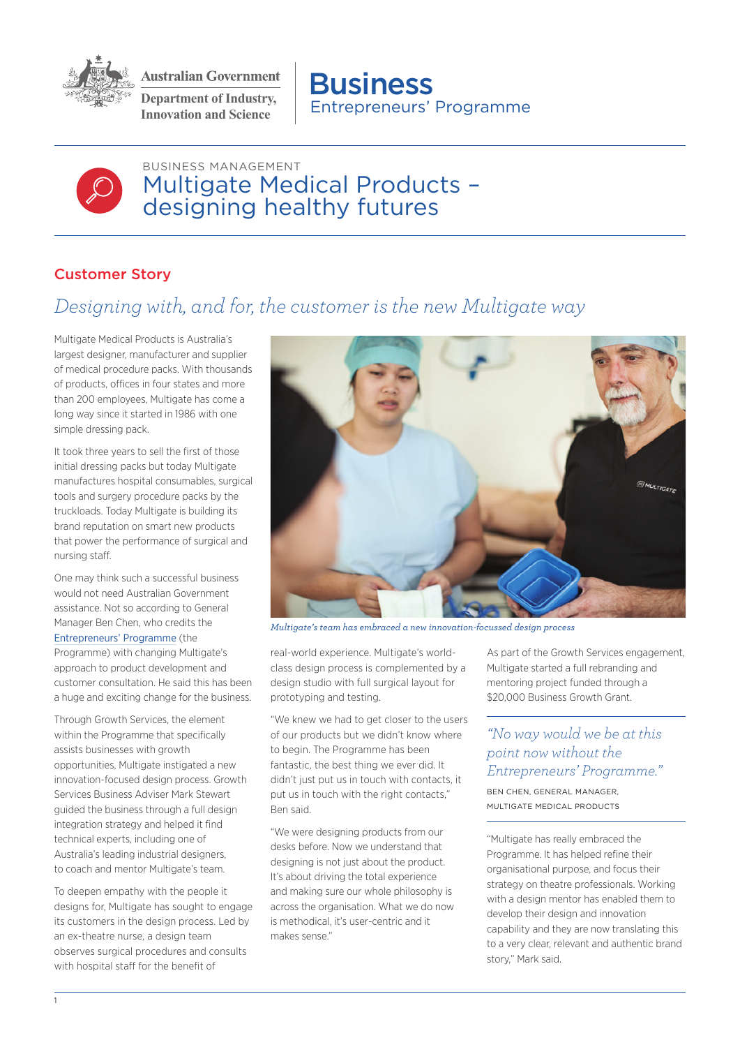

**Australian Government Department of Industry,** 

**Innovation and Science Fig. 2.1 Entrepreneurs' Programme Business** 



BUSINESS MANAGEMENT Multigate Medical Products – designing healthy futures

## Customer Story

## *Designing with, and for, the customer is the new Multigate way*

Multigate Medical Products is Australia's largest designer, manufacturer and supplier of medical procedure packs. With thousands of products, offices in four states and more than 200 employees, Multigate has come a long way since it started in 1986 with one simple dressing pack.

It took three years to sell the first of those initial dressing packs but today Multigate manufactures hospital consumables, surgical tools and surgery procedure packs by the truckloads. Today Multigate is building its brand reputation on smart new products that power the performance of surgical and nursing staff.

One may think such a successful business would not need Australian Government assistance. Not so according to General Manager Ben Chen, who credits the [Entrepreneurs' Programme](https://www.business.gov.au/assistance/entrepreneurs-programme-summary) (the Programme) with changing Multigate's approach to product development and customer consultation. He said this has been a huge and exciting change for the business.

Through Growth Services, the element within the Programme that specifically assists businesses with growth opportunities, Multigate instigated a new innovation-focused design process. Growth Services Business Adviser Mark Stewart guided the business through a full design integration strategy and helped it find technical experts, including one of Australia's leading industrial designers, to coach and mentor Multigate's team.

To deepen empathy with the people it designs for, Multigate has sought to engage its customers in the design process. Led by an ex-theatre nurse, a design team observes surgical procedures and consults with hospital staff for the benefit of



*Multigate's team has embraced a new innovation-focussed design process*

real-world experience. Multigate's worldclass design process is complemented by a design studio with full surgical layout for prototyping and testing.

"We knew we had to get closer to the users of our products but we didn't know where to begin. The Programme has been fantastic, the best thing we ever did. It didn't just put us in touch with contacts, it put us in touch with the right contacts," Ben said.

"We were designing products from our desks before. Now we understand that designing is not just about the product. It's about driving the total experience and making sure our whole philosophy is across the organisation. What we do now is methodical, it's user-centric and it makes sense."

As part of the Growth Services engagement, Multigate started a full rebranding and mentoring project funded through a \$20,000 Business Growth Grant.

## *"No way would we be at this point now without the Entrepreneurs' Programme."*

BEN CHEN, GENERAL MANAGER, MULTIGATE MEDICAL PRODUCTS

"Multigate has really embraced the Programme. It has helped refine their organisational purpose, and focus their strategy on theatre professionals. Working with a design mentor has enabled them to develop their design and innovation capability and they are now translating this to a very clear, relevant and authentic brand story," Mark said.